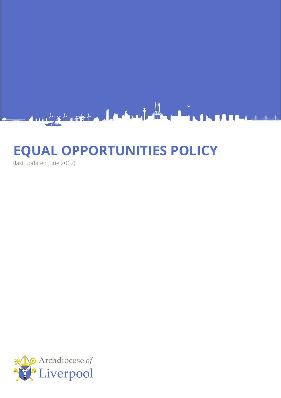

# **EQUAL OPPORTUNITIES POLICY**

(last updated June 2012)

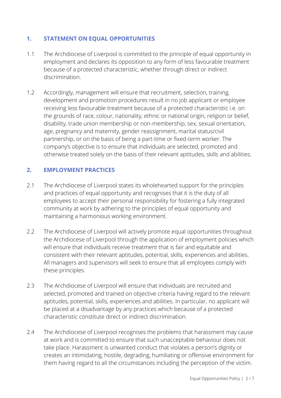# **1. STATEMENT ON EQUAL OPPORTUNITIES**

- 1.1 The Archdiocese of Liverpool is committed to the principle of equal opportunity in employment and declares its opposition to any form of less favourable treatment because of a protected characteristic, whether through direct or indirect discrimination.
- 1.2 Accordingly, management will ensure that recruitment, selection, training, development and promotion procedures result in no job applicant or employee receiving less favourable treatment because of a protected characteristic i.e. on the grounds of race, colour, nationality, ethnic or national origin, religion or belief, disability, trade union membership or non-membership, sex, sexual orientation, age, pregnancy and maternity, gender reassignment, marital status/civil partnership, or on the basis of being a part-time or fixed-term worker. The company's objective is to ensure that individuals are selected, promoted and otherwise treated solely on the basis of their relevant aptitudes, skills and abilities.

# **2. EMPLOYMENT PRACTICES**

- 2.1 The Archdiocese of Liverpool states its wholehearted support for the principles and practices of equal opportunity and recognises that it is the duty of all employees to accept their personal responsibility for fostering a fully integrated community at work by adhering to the principles of equal opportunity and maintaining a harmonious working environment.
- 2.2 The Archdiocese of Liverpool will actively promote equal opportunities throughout the Archdiocese of Liverpool through the application of employment policies which will ensure that individuals receive treatment that is fair and equitable and consistent with their relevant aptitudes, potential, skills, experiences and abilities. All managers and supervisors will seek to ensure that all employees comply with these principles.
- 2.3 The Archdiocese of Liverpool will ensure that individuals are recruited and selected, promoted and trained on objective criteria having regard to the relevant aptitudes, potential, skills, experiences and abilities. In particular, no applicant will be placed at a disadvantage by any practices which because of a protected characteristic constitute direct or indirect discrimination.
- 2.4 The Archdiocese of Liverpool recognises the problems that harassment may cause at work and is committed to ensure that such unacceptable behaviour does not take place. Harassment is unwanted conduct that violates a person's dignity or creates an intimidating, hostile, degrading, humiliating or offensive environment for them having regard to all the circumstances including the perception of the victim.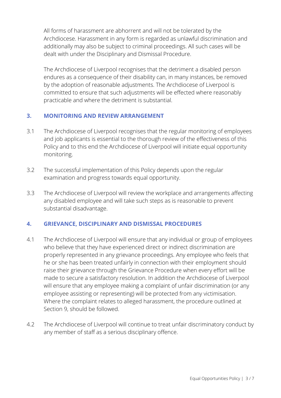All forms of harassment are abhorrent and will not be tolerated by the Archdiocese. Harassment in any form is regarded as unlawful discrimination and additionally may also be subject to criminal proceedings. All such cases will be dealt with under the Disciplinary and Dismissal Procedure.

The Archdiocese of Liverpool recognises that the detriment a disabled person endures as a consequence of their disability can, in many instances, be removed by the adoption of reasonable adjustments. The Archdiocese of Liverpool is committed to ensure that such adjustments will be effected where reasonably practicable and where the detriment is substantial.

# **3. MONITORING AND REVIEW ARRANGEMENT**

- 3.1 The Archdiocese of Liverpool recognises that the regular monitoring of employees and job applicants is essential to the thorough review of the effectiveness of this Policy and to this end the Archdiocese of Liverpool will initiate equal opportunity monitoring.
- 3.2 The successful implementation of this Policy depends upon the regular examination and progress towards equal opportunity.
- 3.3 The Archdiocese of Liverpool will review the workplace and arrangements affecting any disabled employee and will take such steps as is reasonable to prevent substantial disadvantage.

# **4. GRIEVANCE, DISCIPLINARY AND DISMISSAL PROCEDURES**

- 4.1 The Archdiocese of Liverpool will ensure that any individual or group of employees who believe that they have experienced direct or indirect discrimination are properly represented in any grievance proceedings. Any employee who feels that he or she has been treated unfairly in connection with their employment should raise their grievance through the Grievance Procedure when every effort will be made to secure a satisfactory resolution. In addition the Archdiocese of Liverpool will ensure that any employee making a complaint of unfair discrimination (or any employee assisting or representing) will be protected from any victimisation. Where the complaint relates to alleged harassment, the procedure outlined at Section 9, should be followed.
- 4.2 The Archdiocese of Liverpool will continue to treat unfair discriminatory conduct by any member of staff as a serious disciplinary offence.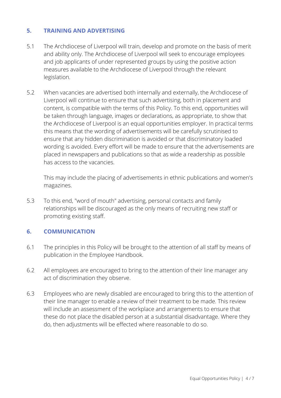# **5. TRAINING AND ADVERTISING**

- 5.1 The Archdiocese of Liverpool will train, develop and promote on the basis of merit and ability only. The Archdiocese of Liverpool will seek to encourage employees and job applicants of under represented groups by using the positive action measures available to the Archdiocese of Liverpool through the relevant legislation.
- 5.2 When vacancies are advertised both internally and externally, the Archdiocese of Liverpool will continue to ensure that such advertising, both in placement and content, is compatible with the terms of this Policy. To this end, opportunities will be taken through language, images or declarations, as appropriate, to show that the Archdiocese of Liverpool is an equal opportunities employer. In practical terms this means that the wording of advertisements will be carefully scrutinised to ensure that any hidden discrimination is avoided or that discriminatory loaded wording is avoided. Every effort will be made to ensure that the advertisements are placed in newspapers and publications so that as wide a readership as possible has access to the vacancies.

This may include the placing of advertisements in ethnic publications and women's magazines.

5.3 To this end, "word of mouth" advertising, personal contacts and family relationships will be discouraged as the only means of recruiting new staff or promoting existing staff.

# **6. COMMUNICATION**

- 6.1 The principles in this Policy will be brought to the attention of all staff by means of publication in the Employee Handbook.
- 6.2 All employees are encouraged to bring to the attention of their line manager any act of discrimination they observe.
- 6.3 Employees who are newly disabled are encouraged to bring this to the attention of their line manager to enable a review of their treatment to be made. This review will include an assessment of the workplace and arrangements to ensure that these do not place the disabled person at a substantial disadvantage. Where they do, then adjustments will be effected where reasonable to do so.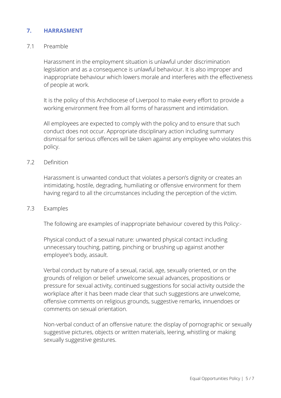# **7. HARRASMENT**

#### 7.1 Preamble

Harassment in the employment situation is unlawful under discrimination legislation and as a consequence is unlawful behaviour. It is also improper and inappropriate behaviour which lowers morale and interferes with the effectiveness of people at work.

It is the policy of this Archdiocese of Liverpool to make every effort to provide a working environment free from all forms of harassment and intimidation.

All employees are expected to comply with the policy and to ensure that such conduct does not occur. Appropriate disciplinary action including summary dismissal for serious offences will be taken against any employee who violates this policy.

#### 7.2 Definition

Harassment is unwanted conduct that violates a person's dignity or creates an intimidating, hostile, degrading, humiliating or offensive environment for them having regard to all the circumstances including the perception of the victim.

#### 7.3 Examples

The following are examples of inappropriate behaviour covered by this Policy:-

Physical conduct of a sexual nature: unwanted physical contact including unnecessary touching, patting, pinching or brushing up against another employee's body, assault.

Verbal conduct by nature of a sexual, racial, age, sexually oriented, or on the grounds of religion or belief: unwelcome sexual advances, propositions or pressure for sexual activity, continued suggestions for social activity outside the workplace after it has been made clear that such suggestions are unwelcome, offensive comments on religious grounds, suggestive remarks, innuendoes or comments on sexual orientation.

Non-verbal conduct of an offensive nature: the display of pornographic or sexually suggestive pictures, objects or written materials, leering, whistling or making sexually suggestive gestures.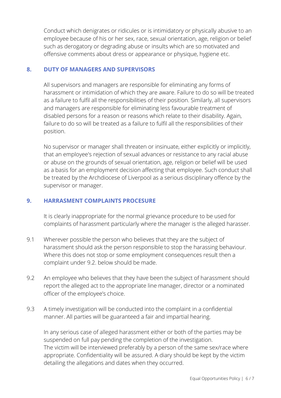Conduct which denigrates or ridicules or is intimidatory or physically abusive to an employee because of his or her sex, race, sexual orientation, age, religion or belief such as derogatory or degrading abuse or insults which are so motivated and offensive comments about dress or appearance or physique, hygiene etc.

#### **8. DUTY OF MANAGERS AND SUPERVISORS**

All supervisors and managers are responsible for eliminating any forms of harassment or intimidation of which they are aware. Failure to do so will be treated as a failure to fulfil all the responsibilities of their position. Similarly, all supervisors and managers are responsible for eliminating less favourable treatment of disabled persons for a reason or reasons which relate to their disability. Again, failure to do so will be treated as a failure to fulfil all the responsibilities of their position.

No supervisor or manager shall threaten or insinuate, either explicitly or implicitly, that an employee's rejection of sexual advances or resistance to any racial abuse or abuse on the grounds of sexual orientation, age, religion or belief will be used as a basis for an employment decision affecting that employee. Such conduct shall be treated by the Archdiocese of Liverpool as a serious disciplinary offence by the supervisor or manager.

# **9. HARRASMENT COMPLAINTS PROCESURE**

It is clearly inappropriate for the normal grievance procedure to be used for complaints of harassment particularly where the manager is the alleged harasser.

- 9.1 Wherever possible the person who believes that they are the subject of harassment should ask the person responsible to stop the harassing behaviour. Where this does not stop or some employment consequences result then a complaint under 9.2. below should be made.
- 9.2 An employee who believes that they have been the subject of harassment should report the alleged act to the appropriate line manager, director or a nominated officer of the employee's choice.
- 9.3 A timely investigation will be conducted into the complaint in a confidential manner. All parties will be guaranteed a fair and impartial hearing.

In any serious case of alleged harassment either or both of the parties may be suspended on full pay pending the completion of the investigation. The victim will be interviewed preferably by a person of the same sex/race where appropriate. Confidentiality will be assured. A diary should be kept by the victim detailing the allegations and dates when they occurred.